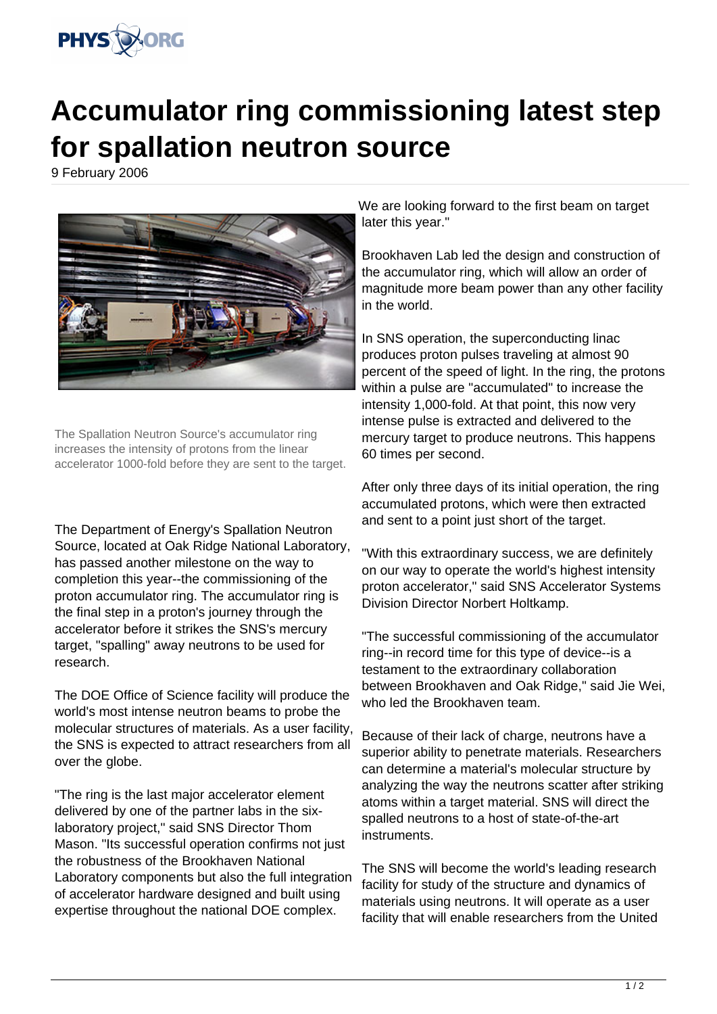

## **Accumulator ring commissioning latest step for spallation neutron source**

9 February 2006



The Spallation Neutron Source's accumulator ring increases the intensity of protons from the linear accelerator 1000-fold before they are sent to the target.

The Department of Energy's Spallation Neutron Source, located at Oak Ridge National Laboratory, has passed another milestone on the way to completion this year--the commissioning of the proton accumulator ring. The accumulator ring is the final step in a proton's journey through the accelerator before it strikes the SNS's mercury target, "spalling" away neutrons to be used for research.

The DOE Office of Science facility will produce the world's most intense neutron beams to probe the molecular structures of materials. As a user facility, the SNS is expected to attract researchers from all over the globe.

"The ring is the last major accelerator element delivered by one of the partner labs in the sixlaboratory project," said SNS Director Thom Mason. "Its successful operation confirms not just the robustness of the Brookhaven National Laboratory components but also the full integration of accelerator hardware designed and built using expertise throughout the national DOE complex.

We are looking forward to the first beam on target later this year."

Brookhaven Lab led the design and construction of the accumulator ring, which will allow an order of magnitude more beam power than any other facility in the world.

In SNS operation, the superconducting linac produces proton pulses traveling at almost 90 percent of the speed of light. In the ring, the protons within a pulse are "accumulated" to increase the intensity 1,000-fold. At that point, this now very intense pulse is extracted and delivered to the mercury target to produce neutrons. This happens 60 times per second.

After only three days of its initial operation, the ring accumulated protons, which were then extracted and sent to a point just short of the target.

"With this extraordinary success, we are definitely on our way to operate the world's highest intensity proton accelerator," said SNS Accelerator Systems Division Director Norbert Holtkamp.

"The successful commissioning of the accumulator ring--in record time for this type of device--is a testament to the extraordinary collaboration between Brookhaven and Oak Ridge," said Jie Wei, who led the Brookhaven team.

Because of their lack of charge, neutrons have a superior ability to penetrate materials. Researchers can determine a material's molecular structure by analyzing the way the neutrons scatter after striking atoms within a target material. SNS will direct the spalled neutrons to a host of state-of-the-art instruments.

The SNS will become the world's leading research facility for study of the structure and dynamics of materials using neutrons. It will operate as a user facility that will enable researchers from the United